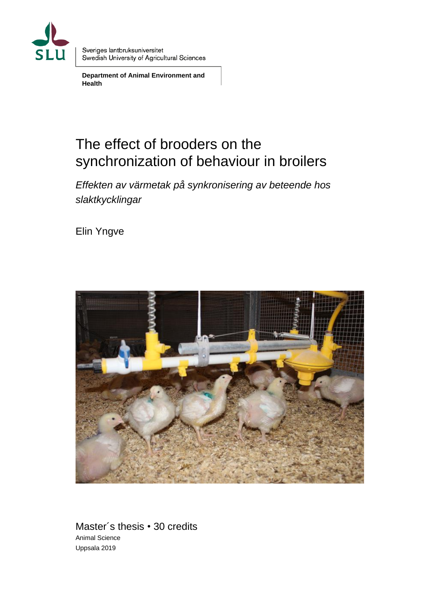

Sveriges lantbruksuniversitet Swedish University of Agricultural Sciences

**Department of Animal Environment and Health**

# The effect of brooders on the synchronization of behaviour in broilers

*Effekten av värmetak på synkronisering av beteende hos slaktkycklingar*

Elin Yngve



Master´s thesis • 30 credits Animal Science Uppsala 2019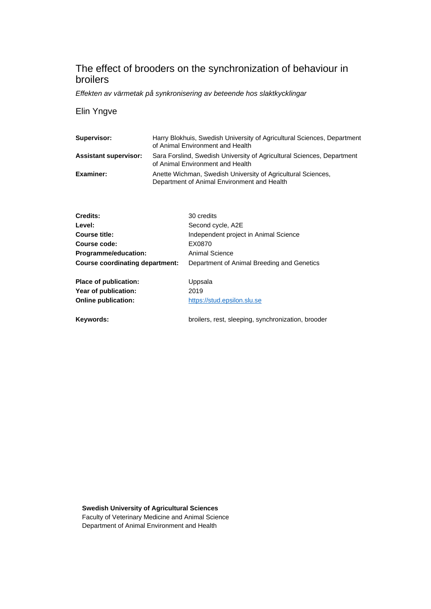# The effect of brooders on the synchronization of behaviour in broilers

*Effekten av värmetak på synkronisering av beteende hos slaktkycklingar*

#### Elin Yngve

| Supervisor:                  | Harry Blokhuis, Swedish University of Agricultural Sciences, Department<br>of Animal Environment and Health |
|------------------------------|-------------------------------------------------------------------------------------------------------------|
| <b>Assistant supervisor:</b> | Sara Forslind, Swedish University of Agricultural Sciences, Department<br>of Animal Environment and Health  |
| Examiner:                    | Anette Wichman, Swedish University of Agricultural Sciences,<br>Department of Animal Environment and Health |

| Credits:                               | 30 credits                                 |
|----------------------------------------|--------------------------------------------|
| Level:                                 | Second cycle, A2E                          |
| Course title:                          | Independent project in Animal Science      |
| Course code:                           | EX0870                                     |
| Programme/education:                   | Animal Science                             |
| <b>Course coordinating department:</b> | Department of Animal Breeding and Genetics |
| Place of publication:                  | Uppsala                                    |
| Year of publication:                   | 2019                                       |
| <b>Online publication:</b>             | https://stud.epsilon.slu.se                |

**Keywords:** broilers, rest, sleeping, synchronization, brooder

**Swedish University of Agricultural Sciences** Faculty of Veterinary Medicine and Animal Science Department of Animal Environment and Health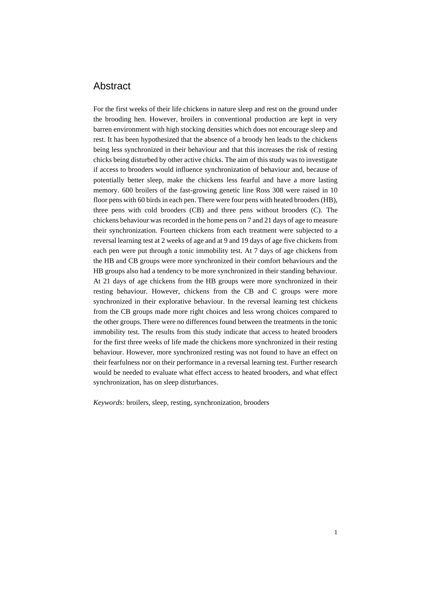# Abstract

For the first weeks of their life chickens in nature sleep and rest on the ground under the brooding hen. However, broilers in conventional production are kept in very barren environment with high stocking densities which does not encourage sleep and rest. It has been hypothesized that the absence of a broody hen leads to the chickens being less synchronized in their behaviour and that this increases the risk of resting chicks being disturbed by other active chicks. The aim of this study was to investigate if access to brooders would influence synchronization of behaviour and, because of potentially better sleep, make the chickens less fearful and have a more lasting memory. 600 broilers of the fast-growing genetic line Ross 308 were raised in 10 floor pens with 60 birds in each pen. There were four pens with heated brooders (HB), three pens with cold brooders (CB) and three pens without brooders (C). The chickens behaviour was recorded in the home pens on 7 and 21 days of age to measure their synchronization. Fourteen chickens from each treatment were subjected to a reversal learning test at 2 weeks of age and at 9 and 19 days of age five chickens from each pen were put through a tonic immobility test. At 7 days of age chickens from the HB and CB groups were more synchronized in their comfort behaviours and the HB groups also had a tendency to be more synchronized in their standing behaviour. At 21 days of age chickens from the HB groups were more synchronized in their resting behaviour. However, chickens from the CB and C groups were more synchronized in their explorative behaviour. In the reversal learning test chickens from the CB groups made more right choices and less wrong choices compared to the other groups. There were no differences found between the treatments in the tonic immobility test. The results from this study indicate that access to heated brooders for the first three weeks of life made the chickens more synchronized in their resting behaviour. However, more synchronized resting was not found to have an effect on their fearfulness nor on their performance in a reversal learning test. Further research would be needed to evaluate what effect access to heated brooders, and what effect synchronization, has on sleep disturbances.

*Keywords:* broilers, sleep, resting, synchronization, brooders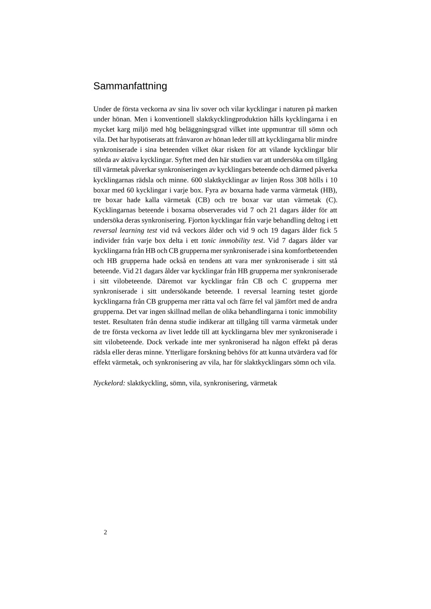# Sammanfattning

Under de första veckorna av sina liv sover och vilar kycklingar i naturen på marken under hönan. Men i konventionell slaktkycklingproduktion hålls kycklingarna i en mycket karg miljö med hög beläggningsgrad vilket inte uppmuntrar till sömn och vila. Det har hypotiserats att frånvaron av hönan leder till att kycklingarna blir mindre synkroniserade i sina beteenden vilket ökar risken för att vilande kycklingar blir störda av aktiva kycklingar. Syftet med den här studien var att undersöka om tillgång till värmetak påverkar synkroniseringen av kycklingars beteende och därmed påverka kycklingarnas rädsla och minne. 600 slaktkycklingar av linjen Ross 308 hölls i 10 boxar med 60 kycklingar i varje box. Fyra av boxarna hade varma värmetak (HB), tre boxar hade kalla värmetak (CB) och tre boxar var utan värmetak (C). Kycklingarnas beteende i boxarna observerades vid 7 och 21 dagars ålder för att undersöka deras synkronisering. Fjorton kycklingar från varje behandling deltog i ett *reversal learning test* vid två veckors ålder och vid 9 och 19 dagars ålder fick 5 individer från varje box delta i ett *tonic immobility test*. Vid 7 dagars ålder var kycklingarna från HB och CB grupperna mer synkroniserade i sina komfortbeteenden och HB grupperna hade också en tendens att vara mer synkroniserade i sitt stå beteende. Vid 21 dagars ålder var kycklingar från HB grupperna mer synkroniserade i sitt vilobeteende. Däremot var kycklingar från CB och C grupperna mer synkroniserade i sitt undersökande beteende. I reversal learning testet gjorde kycklingarna från CB grupperna mer rätta val och färre fel val jämfört med de andra grupperna. Det var ingen skillnad mellan de olika behandlingarna i tonic immobility testet. Resultaten från denna studie indikerar att tillgång till varma värmetak under de tre första veckorna av livet ledde till att kycklingarna blev mer synkroniserade i sitt vilobeteende. Dock verkade inte mer synkroniserad ha någon effekt på deras rädsla eller deras minne. Ytterligare forskning behövs för att kunna utvärdera vad för effekt värmetak, och synkronisering av vila, har för slaktkycklingars sömn och vila.

*Nyckelord:* slaktkyckling, sömn, vila, synkronisering, värmetak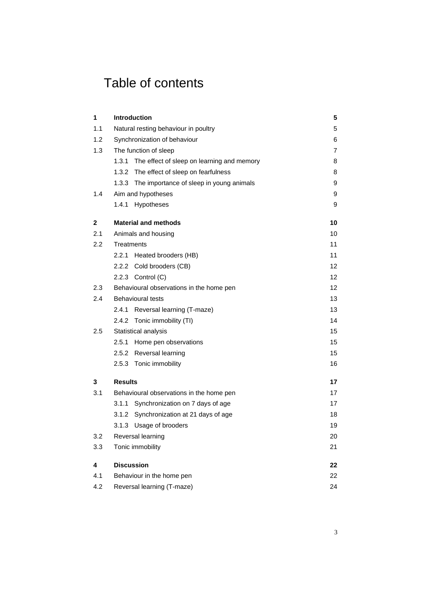# Table of contents

| 1   | <b>Introduction</b>                                 | 5              |  |  |  |  |
|-----|-----------------------------------------------------|----------------|--|--|--|--|
| 1.1 | Natural resting behaviour in poultry                | 5              |  |  |  |  |
| 1.2 | Synchronization of behaviour                        | 6              |  |  |  |  |
| 1.3 | The function of sleep                               | $\overline{7}$ |  |  |  |  |
|     | 1.3.1<br>The effect of sleep on learning and memory | 8              |  |  |  |  |
|     | 1.3.2<br>The effect of sleep on fearfulness         | 8              |  |  |  |  |
|     | 1.3.3 The importance of sleep in young animals      | 9              |  |  |  |  |
| 1.4 | Aim and hypotheses                                  | 9              |  |  |  |  |
|     | 1.4.1<br><b>Hypotheses</b>                          | 9              |  |  |  |  |
| 2   | <b>Material and methods</b>                         | 10             |  |  |  |  |
| 2.1 | Animals and housing                                 | 10             |  |  |  |  |
| 2.2 | Treatments                                          | 11             |  |  |  |  |
|     | 2.2.1<br>Heated brooders (HB)                       | 11             |  |  |  |  |
|     | 2.2.2 Cold brooders (CB)                            | 12             |  |  |  |  |
|     | 2.2.3 Control (C)                                   | 12             |  |  |  |  |
| 2.3 | Behavioural observations in the home pen            | 12             |  |  |  |  |
| 2.4 | <b>Behavioural tests</b>                            | 13             |  |  |  |  |
|     | 2.4.1<br>Reversal learning (T-maze)                 | 13             |  |  |  |  |
|     | 2.4.2 Tonic immobility (TI)                         | 14             |  |  |  |  |
| 2.5 | Statistical analysis                                | 15             |  |  |  |  |
|     | 2.5.1<br>Home pen observations                      | 15             |  |  |  |  |
|     | 2.5.2 Reversal learning                             | 15             |  |  |  |  |
|     | 2.5.3 Tonic immobility                              | 16             |  |  |  |  |
| 3   | <b>Results</b>                                      | 17             |  |  |  |  |
| 3.1 | Behavioural observations in the home pen            | 17             |  |  |  |  |
|     | 3.1.1<br>Synchronization on 7 days of age           | 17             |  |  |  |  |
|     | 3.1.2 Synchronization at 21 days of age             | 18             |  |  |  |  |
|     | 3.1.3 Usage of brooders                             | 19             |  |  |  |  |
| 3.2 | Reversal learning                                   | 20             |  |  |  |  |
| 3.3 | Tonic immobility                                    | 21             |  |  |  |  |
| 4   | <b>Discussion</b>                                   | 22             |  |  |  |  |
| 4.1 | Behaviour in the home pen                           | 22             |  |  |  |  |
| 4.2 | 24<br>Reversal learning (T-maze)                    |                |  |  |  |  |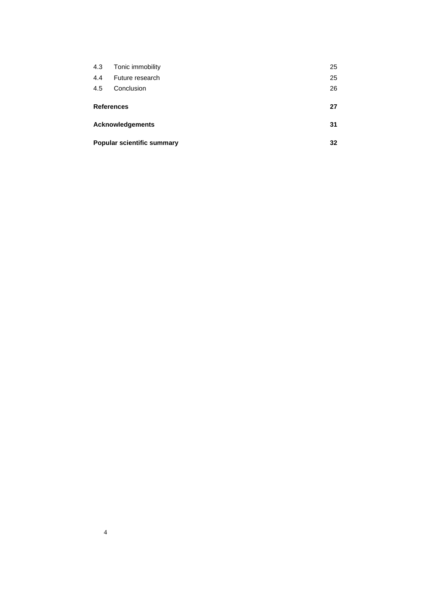| 4.3                     | Tonic immobility                  | 25 |  |
|-------------------------|-----------------------------------|----|--|
| 4.4                     | Future research                   | 25 |  |
| 4.5                     | Conclusion                        | 26 |  |
|                         |                                   | 27 |  |
| <b>References</b>       |                                   |    |  |
| <b>Acknowledgements</b> |                                   | 31 |  |
|                         | <b>Popular scientific summary</b> |    |  |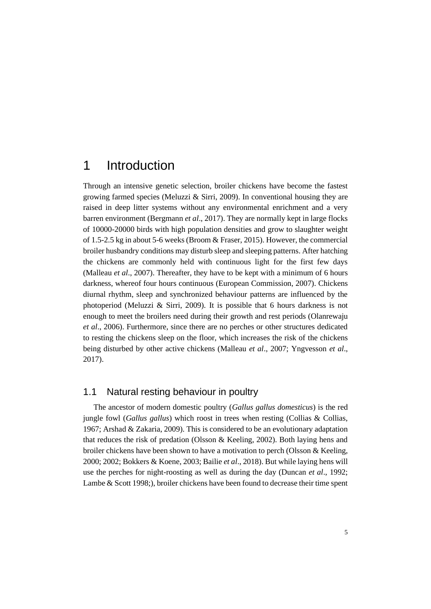# <span id="page-8-0"></span>1 Introduction

Through an intensive genetic selection, broiler chickens have become the fastest growing farmed species (Meluzzi  $\&$  Sirri, 2009). In conventional housing they are raised in deep litter systems without any environmental enrichment and a very barren environment (Bergmann *et al*., 2017). They are normally kept in large flocks of 10000-20000 birds with high population densities and grow to slaughter weight of 1.5-2.5 kg in about 5-6 weeks (Broom & Fraser, 2015). However, the commercial broiler husbandry conditions may disturb sleep and sleeping patterns. After hatching the chickens are commonly held with continuous light for the first few days (Malleau *et al*., 2007). Thereafter, they have to be kept with a minimum of 6 hours darkness, whereof four hours continuous (European Commission, 2007). Chickens diurnal rhythm, sleep and synchronized behaviour patterns are influenced by the photoperiod (Meluzzi & Sirri, 2009). It is possible that 6 hours darkness is not enough to meet the broilers need during their growth and rest periods (Olanrewaju *et al*., 2006). Furthermore, since there are no perches or other structures dedicated to resting the chickens sleep on the floor, which increases the risk of the chickens being disturbed by other active chickens (Malleau *et al*., 2007; Yngvesson *et al*., 2017).

## <span id="page-8-1"></span>1.1 Natural resting behaviour in poultry

The ancestor of modern domestic poultry (*Gallus gallus domesticus*) is the red jungle fowl (*Gallus gallus*) which roost in trees when resting (Collias & Collias, 1967; Arshad & Zakaria, 2009). This is considered to be an evolutionary adaptation that reduces the risk of predation (Olsson & Keeling, 2002). Both laying hens and broiler chickens have been shown to have a motivation to perch (Olsson & Keeling, 2000; 2002; Bokkers & Koene, 2003; Bailie *et al*., 2018). But while laying hens will use the perches for night-roosting as well as during the day (Duncan *et al*., 1992; Lambe & Scott 1998;), broiler chickens have been found to decrease their time spent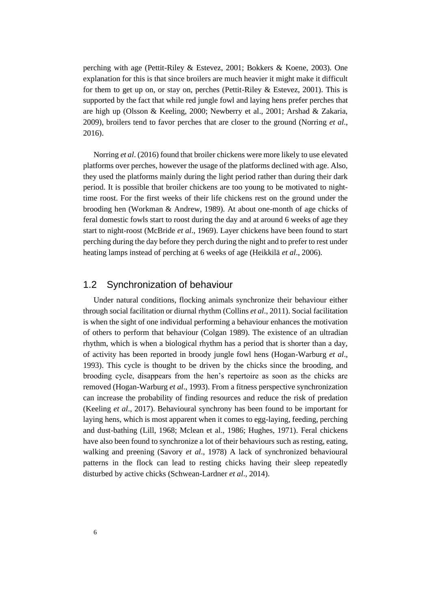perching with age (Pettit-Riley & Estevez, 2001; Bokkers & Koene, 2003). One explanation for this is that since broilers are much heavier it might make it difficult for them to get up on, or stay on, perches (Pettit-Riley  $\&$  Estevez, 2001). This is supported by the fact that while red jungle fowl and laying hens prefer perches that are high up (Olsson & Keeling, 2000; Newberry et al., 2001; Arshad & Zakaria, 2009), broilers tend to favor perches that are closer to the ground (Norring *et al*., 2016).

Norring *et al*. (2016) found that broiler chickens were more likely to use elevated platforms over perches, however the usage of the platforms declined with age. Also, they used the platforms mainly during the light period rather than during their dark period. It is possible that broiler chickens are too young to be motivated to nighttime roost. For the first weeks of their life chickens rest on the ground under the brooding hen (Workman & Andrew, 1989). At about one-month of age chicks of feral domestic fowls start to roost during the day and at around 6 weeks of age they start to night-roost (McBride *et al*., 1969). Layer chickens have been found to start perching during the day before they perch during the night and to prefer to rest under heating lamps instead of perching at 6 weeks of age (Heikkilä *et al*., 2006).

# <span id="page-9-0"></span>1.2 Synchronization of behaviour

Under natural conditions, flocking animals synchronize their behaviour either through social facilitation or diurnal rhythm (Collins *et al*., 2011). Social facilitation is when the sight of one individual performing a behaviour enhances the motivation of others to perform that behaviour (Colgan 1989). The existence of an ultradian rhythm, which is when a biological rhythm has a period that is shorter than a day, of activity has been reported in broody jungle fowl hens (Hogan-Warburg *et al*., 1993). This cycle is thought to be driven by the chicks since the brooding, and brooding cycle, disappears from the hen's repertoire as soon as the chicks are removed (Hogan-Warburg *et al*., 1993). From a fitness perspective synchronization can increase the probability of finding resources and reduce the risk of predation (Keeling *et al*., 2017). Behavioural synchrony has been found to be important for laying hens, which is most apparent when it comes to egg-laying, feeding, perching and dust-bathing (Lill, 1968; Mclean et al., 1986; Hughes, 1971). Feral chickens have also been found to synchronize a lot of their behaviours such as resting, eating, walking and preening (Savory *et al*., 1978) A lack of synchronized behavioural patterns in the flock can lead to resting chicks having their sleep repeatedly disturbed by active chicks (Schwean-Lardner *et al*., 2014).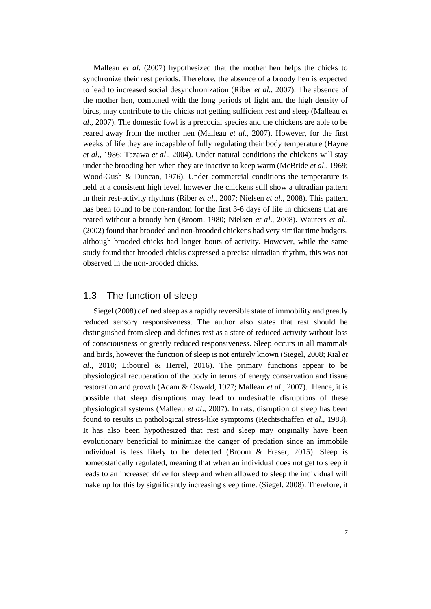Malleau *et al*. (2007) hypothesized that the mother hen helps the chicks to synchronize their rest periods. Therefore, the absence of a broody hen is expected to lead to increased social desynchronization (Riber *et al*., 2007). The absence of the mother hen, combined with the long periods of light and the high density of birds, may contribute to the chicks not getting sufficient rest and sleep (Malleau *et al*., 2007). The domestic fowl is a precocial species and the chickens are able to be reared away from the mother hen (Malleau *et al*., 2007). However, for the first weeks of life they are incapable of fully regulating their body temperature (Hayne *et al*., 1986; Tazawa *et al*., 2004). Under natural conditions the chickens will stay under the brooding hen when they are inactive to keep warm (McBride *et al*., 1969; Wood-Gush & Duncan, 1976). Under commercial conditions the temperature is held at a consistent high level, however the chickens still show a ultradian pattern in their rest-activity rhythms (Riber *et al*., 2007; Nielsen *et al*., 2008). This pattern has been found to be non-random for the first 3-6 days of life in chickens that are reared without a broody hen (Broom, 1980; Nielsen *et al*., 2008). Wauters *et al*., (2002) found that brooded and non-brooded chickens had very similar time budgets, although brooded chicks had longer bouts of activity. However, while the same study found that brooded chicks expressed a precise ultradian rhythm, this was not observed in the non-brooded chicks.

### <span id="page-10-0"></span>1.3 The function of sleep

Siegel (2008) defined sleep as a rapidly reversible state of immobility and greatly reduced sensory responsiveness. The author also states that rest should be distinguished from sleep and defines rest as a state of reduced activity without loss of consciousness or greatly reduced responsiveness. Sleep occurs in all mammals and birds, however the function of sleep is not entirely known (Siegel, 2008; Rial *et al*., 2010; Libourel & Herrel, 2016). The primary functions appear to be physiological recuperation of the body in terms of energy conservation and tissue restoration and growth (Adam & Oswald, 1977; Malleau *et al*., 2007). Hence, it is possible that sleep disruptions may lead to undesirable disruptions of these physiological systems (Malleau *et al*., 2007). In rats, disruption of sleep has been found to results in pathological stress-like symptoms (Rechtschaffen *et al*., 1983). It has also been hypothesized that rest and sleep may originally have been evolutionary beneficial to minimize the danger of predation since an immobile individual is less likely to be detected (Broom & Fraser, 2015). Sleep is homeostatically regulated, meaning that when an individual does not get to sleep it leads to an increased drive for sleep and when allowed to sleep the individual will make up for this by significantly increasing sleep time. (Siegel, 2008). Therefore, it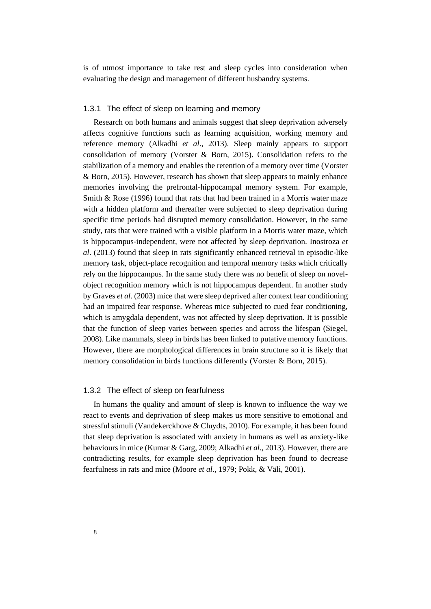<span id="page-11-0"></span>is of utmost importance to take rest and sleep cycles into consideration when evaluating the design and management of different husbandry systems.

#### 1.3.1 The effect of sleep on learning and memory

Research on both humans and animals suggest that sleep deprivation adversely affects cognitive functions such as learning acquisition, working memory and reference memory (Alkadhi *et al*., 2013). Sleep mainly appears to support consolidation of memory (Vorster & Born, 2015). Consolidation refers to the stabilization of a memory and enables the retention of a memory over time (Vorster & Born, 2015). However, research has shown that sleep appears to mainly enhance memories involving the prefrontal-hippocampal memory system. For example, Smith & Rose (1996) found that rats that had been trained in a Morris water maze with a hidden platform and thereafter were subjected to sleep deprivation during specific time periods had disrupted memory consolidation. However, in the same study, rats that were trained with a visible platform in a Morris water maze, which is hippocampus-independent, were not affected by sleep deprivation. Inostroza *et al*. (2013) found that sleep in rats significantly enhanced retrieval in episodic-like memory task, object-place recognition and temporal memory tasks which critically rely on the hippocampus. In the same study there was no benefit of sleep on novelobject recognition memory which is not hippocampus dependent. In another study by Graves *et al*. (2003) mice that were sleep deprived after context fear conditioning had an impaired fear response. Whereas mice subjected to cued fear conditioning, which is amygdala dependent, was not affected by sleep deprivation. It is possible that the function of sleep varies between species and across the lifespan (Siegel, 2008). Like mammals, sleep in birds has been linked to putative memory functions. However, there are morphological differences in brain structure so it is likely that memory consolidation in birds functions differently (Vorster & Born, 2015).

#### <span id="page-11-1"></span>1.3.2 The effect of sleep on fearfulness

In humans the quality and amount of sleep is known to influence the way we react to events and deprivation of sleep makes us more sensitive to emotional and stressful stimuli (Vandekerckhove & Cluydts, 2010). For example, it has been found that sleep deprivation is associated with anxiety in humans as well as anxiety-like behaviours in mice (Kumar & Garg, 2009; Alkadhi *et al*., 2013). However, there are contradicting results, for example sleep deprivation has been found to decrease fearfulness in rats and mice (Moore *et al*., 1979; Pokk, & Väli, 2001).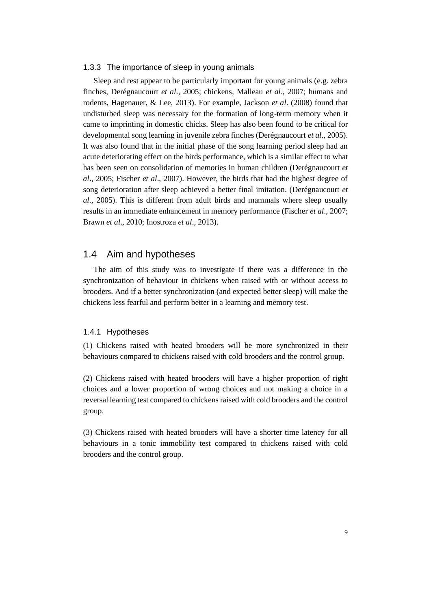#### <span id="page-12-0"></span>1.3.3 The importance of sleep in young animals

Sleep and rest appear to be particularly important for young animals (e.g. zebra finches, Derégnaucourt *et al*., 2005; chickens, Malleau *et al*., 2007; humans and rodents, Hagenauer, & Lee, 2013). For example, Jackson *et al*. (2008) found that undisturbed sleep was necessary for the formation of long-term memory when it came to imprinting in domestic chicks. Sleep has also been found to be critical for developmental song learning in juvenile zebra finches (Derégnaucourt *et al*., 2005). It was also found that in the initial phase of the song learning period sleep had an acute deteriorating effect on the birds performance, which is a similar effect to what has been seen on consolidation of memories in human children (Derégnaucourt *et al*., 2005; Fischer *et al*., 2007). However, the birds that had the highest degree of song deterioration after sleep achieved a better final imitation. (Derégnaucourt *et al*., 2005). This is different from adult birds and mammals where sleep usually results in an immediate enhancement in memory performance (Fischer *et al*., 2007; Brawn *et al*., 2010; Inostroza *et al*., 2013).

### <span id="page-12-1"></span>1.4 Aim and hypotheses

The aim of this study was to investigate if there was a difference in the synchronization of behaviour in chickens when raised with or without access to brooders. And if a better synchronization (and expected better sleep) will make the chickens less fearful and perform better in a learning and memory test.

#### <span id="page-12-2"></span>1.4.1 Hypotheses

(1) Chickens raised with heated brooders will be more synchronized in their behaviours compared to chickens raised with cold brooders and the control group.

(2) Chickens raised with heated brooders will have a higher proportion of right choices and a lower proportion of wrong choices and not making a choice in a reversal learning test compared to chickens raised with cold brooders and the control group.

(3) Chickens raised with heated brooders will have a shorter time latency for all behaviours in a tonic immobility test compared to chickens raised with cold brooders and the control group.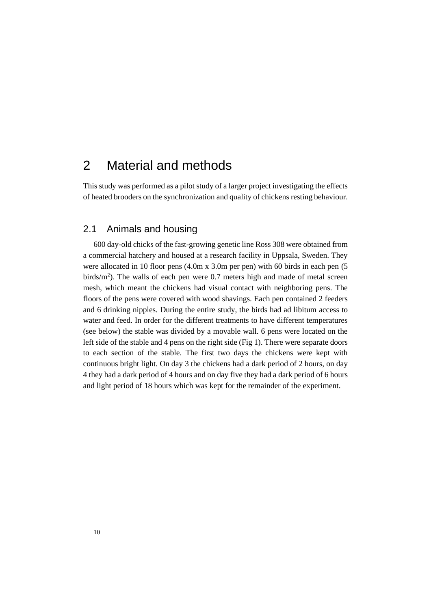# <span id="page-13-0"></span>2 Material and methods

<span id="page-13-1"></span>This study was performed as a pilot study of a larger project investigating the effects of heated brooders on the synchronization and quality of chickens resting behaviour.

## 2.1 Animals and housing

600 day-old chicks of the fast-growing genetic line Ross 308 were obtained from a commercial hatchery and housed at a research facility in Uppsala, Sweden. They were allocated in 10 floor pens (4.0m x 3.0m per pen) with 60 birds in each pen (5 birds/m<sup>2</sup>). The walls of each pen were 0.7 meters high and made of metal screen mesh, which meant the chickens had visual contact with neighboring pens. The floors of the pens were covered with wood shavings. Each pen contained 2 feeders and 6 drinking nipples. During the entire study, the birds had ad libitum access to water and feed. In order for the different treatments to have different temperatures (see below) the stable was divided by a movable wall. 6 pens were located on the left side of the stable and 4 pens on the right side (Fig 1). There were separate doors to each section of the stable. The first two days the chickens were kept with continuous bright light. On day 3 the chickens had a dark period of 2 hours, on day 4 they had a dark period of 4 hours and on day five they had a dark period of 6 hours and light period of 18 hours which was kept for the remainder of the experiment.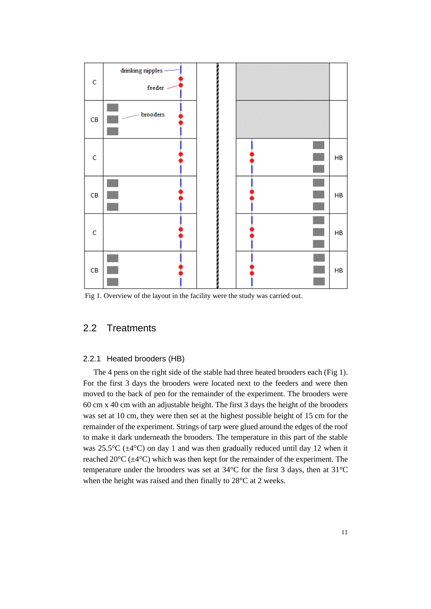

<span id="page-14-0"></span>Fig 1. Overview of the layout in the facility were the study was carried out.

## <span id="page-14-1"></span>2.2 Treatments

#### 2.2.1 Heated brooders (HB)

The 4 pens on the right side of the stable had three heated brooders each (Fig 1). For the first 3 days the brooders were located next to the feeders and were then moved to the back of pen for the remainder of the experiment. The brooders were 60 cm x 40 cm with an adjustable height. The first 3 days the height of the brooders was set at 10 cm, they were then set at the highest possible height of 15 cm for the remainder of the experiment. Strings of tarp were glued around the edges of the roof to make it dark underneath the brooders. The temperature in this part of the stable was 25.5 $\rm{^{\circ}C}$  ( $\rm{\pm 4}$  $\rm{^{\circ}C}$ ) on day 1 and was then gradually reduced until day 12 when it reached  $20^{\circ}C$  ( $\pm$ 4 $^{\circ}C$ ) which was then kept for the remainder of the experiment. The temperature under the brooders was set at 34°C for the first 3 days, then at 31°C when the height was raised and then finally to 28°C at 2 weeks.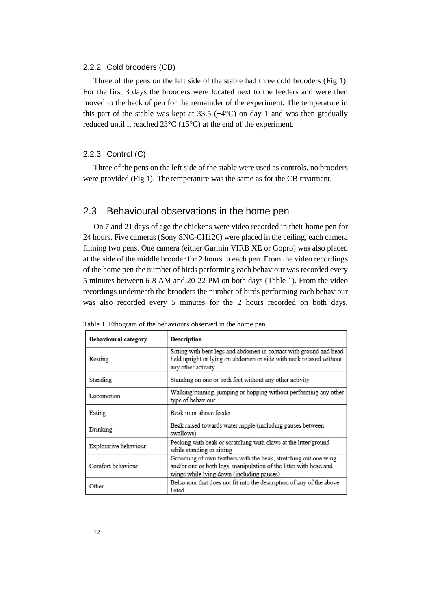#### <span id="page-15-0"></span>2.2.2 Cold brooders (CB)

Three of the pens on the left side of the stable had three cold brooders (Fig 1). For the first 3 days the brooders were located next to the feeders and were then moved to the back of pen for the remainder of the experiment. The temperature in this part of the stable was kept at 33.5  $(\pm 4^{\circ}C)$  on day 1 and was then gradually reduced until it reached  $23^{\circ}C (\pm 5^{\circ}C)$  at the end of the experiment.

#### <span id="page-15-1"></span>2.2.3 Control (C)

<span id="page-15-2"></span>Three of the pens on the left side of the stable were used as controls, no brooders were provided (Fig 1). The temperature was the same as for the CB treatment.

#### 2.3 Behavioural observations in the home pen

On 7 and 21 days of age the chickens were video recorded in their home pen for 24 hours. Five cameras (Sony SNC-CH120) were placed in the ceiling, each camera filming two pens. One camera (either Garmin VIRB XE or Gopro) was also placed at the side of the middle brooder for 2 hours in each pen. From the video recordings of the home pen the number of birds performing each behaviour was recorded every 5 minutes between 6-8 AM and 20-22 PM on both days (Table 1). From the video recordings underneath the brooders the number of birds performing each behaviour was also recorded every 5 minutes for the 2 hours recorded on both days.

| Behavioural category  | Description                                                                                                                                                                       |
|-----------------------|-----------------------------------------------------------------------------------------------------------------------------------------------------------------------------------|
| Resting               | Sitting with bent legs and abdomen in contact with ground and head<br>held upright or lying on abdomen or side with neck relaxed without<br>any other activity                    |
| Standing              | Standing on one or both feet without any other activity                                                                                                                           |
| Locomotion            | Walking/running, jumping or hopping without performing any other<br>type of behaviour                                                                                             |
| Eating                | Beak in or above feeder                                                                                                                                                           |
| Drinking              | Beak raised towards water nipple (including pauses between<br>swallows)                                                                                                           |
| Explorative behaviour | Pecking with beak or scratching with claws at the litter/ground<br>while standing or sitting                                                                                      |
| Comfort behaviour     | Grooming of own feathers with the beak, stretching out one wing<br>and/or one or both legs, manipulation of the litter with head and<br>wings while lying down (including pauses) |
| Other                 | Behaviour that does not fit into the description of any of the above<br>listed                                                                                                    |

|  |  |  |  | Table 1. Ethogram of the behaviours observed in the home pen |  |  |  |  |
|--|--|--|--|--------------------------------------------------------------|--|--|--|--|
|--|--|--|--|--------------------------------------------------------------|--|--|--|--|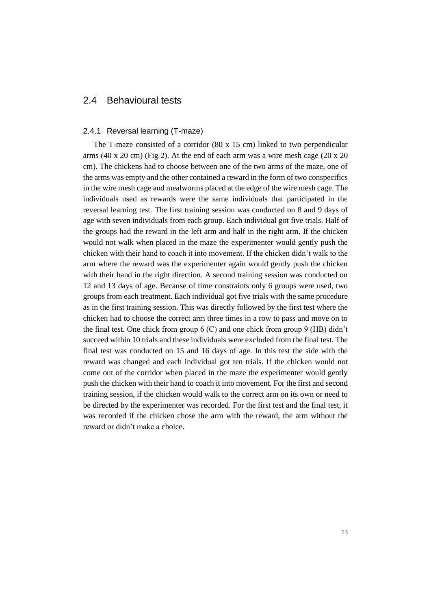# <span id="page-16-1"></span><span id="page-16-0"></span>2.4 Behavioural tests

#### 2.4.1 Reversal learning (T-maze)

The T-maze consisted of a corridor (80 x 15 cm) linked to two perpendicular arms (40 x 20 cm) (Fig 2). At the end of each arm was a wire mesh cage (20 x 20 cm). The chickens had to choose between one of the two arms of the maze, one of the arms was empty and the other contained a reward in the form of two conspecifics in the wire mesh cage and mealworms placed at the edge of the wire mesh cage. The individuals used as rewards were the same individuals that participated in the reversal learning test. The first training session was conducted on 8 and 9 days of age with seven individuals from each group. Each individual got five trials. Half of the groups had the reward in the left arm and half in the right arm. If the chicken would not walk when placed in the maze the experimenter would gently push the chicken with their hand to coach it into movement. If the chicken didn't walk to the arm where the reward was the experimenter again would gently push the chicken with their hand in the right direction. A second training session was conducted on 12 and 13 days of age. Because of time constraints only 6 groups were used, two groups from each treatment. Each individual got five trials with the same procedure as in the first training session. This was directly followed by the first test where the chicken had to choose the correct arm three times in a row to pass and move on to the final test. One chick from group  $6$  (C) and one chick from group  $9$  (HB) didn't succeed within 10 trials and these individuals were excluded from the final test. The final test was conducted on 15 and 16 days of age. In this test the side with the reward was changed and each individual got ten trials. If the chicken would not come out of the corridor when placed in the maze the experimenter would gently push the chicken with their hand to coach it into movement. For the first and second training session, if the chicken would walk to the correct arm on its own or need to be directed by the experimenter was recorded. For the first test and the final test, it was recorded if the chicken chose the arm with the reward, the arm without the reward or didn't make a choice.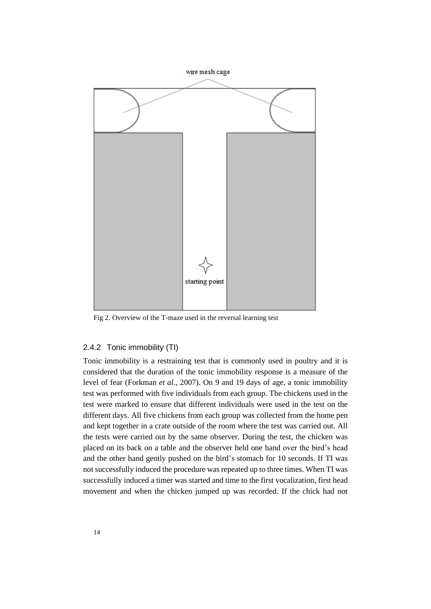

<span id="page-17-0"></span>Fig 2. Overview of the T-maze used in the reversal learning test

#### 2.4.2 Tonic immobility (TI)

Tonic immobility is a restraining test that is commonly used in poultry and it is considered that the duration of the tonic immobility response is a measure of the level of fear (Forkman *et al*., 2007). On 9 and 19 days of age, a tonic immobility test was performed with five individuals from each group. The chickens used in the test were marked to ensure that different individuals were used in the test on the different days. All five chickens from each group was collected from the home pen and kept together in a crate outside of the room where the test was carried out. All the tests were carried out by the same observer. During the test, the chicken was placed on its back on a table and the observer held one hand over the bird's head and the other hand gently pushed on the bird's stomach for 10 seconds. If TI was not successfully induced the procedure was repeated up to three times. When TI was successfully induced a timer was started and time to the first vocalization, first head movement and when the chicken jumped up was recorded. If the chick had not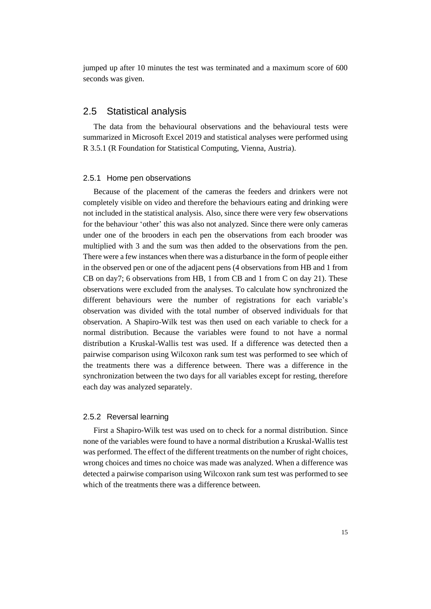<span id="page-18-0"></span>jumped up after 10 minutes the test was terminated and a maximum score of 600 seconds was given.

## 2.5 Statistical analysis

The data from the behavioural observations and the behavioural tests were summarized in Microsoft Excel 2019 and statistical analyses were performed using R 3.5.1 (R Foundation for Statistical Computing, Vienna, Austria).

#### <span id="page-18-1"></span>2.5.1 Home pen observations

Because of the placement of the cameras the feeders and drinkers were not completely visible on video and therefore the behaviours eating and drinking were not included in the statistical analysis. Also, since there were very few observations for the behaviour 'other' this was also not analyzed. Since there were only cameras under one of the brooders in each pen the observations from each brooder was multiplied with 3 and the sum was then added to the observations from the pen. There were a few instances when there was a disturbance in the form of people either in the observed pen or one of the adjacent pens (4 observations from HB and 1 from CB on day7; 6 observations from HB, 1 from CB and 1 from C on day 21). These observations were excluded from the analyses. To calculate how synchronized the different behaviours were the number of registrations for each variable's observation was divided with the total number of observed individuals for that observation. A Shapiro-Wilk test was then used on each variable to check for a normal distribution. Because the variables were found to not have a normal distribution a Kruskal-Wallis test was used. If a difference was detected then a pairwise comparison using Wilcoxon rank sum test was performed to see which of the treatments there was a difference between. There was a difference in the synchronization between the two days for all variables except for resting, therefore each day was analyzed separately.

#### <span id="page-18-2"></span>2.5.2 Reversal learning

First a Shapiro-Wilk test was used on to check for a normal distribution. Since none of the variables were found to have a normal distribution a Kruskal-Wallis test was performed. The effect of the different treatments on the number of right choices, wrong choices and times no choice was made was analyzed. When a difference was detected a pairwise comparison using Wilcoxon rank sum test was performed to see which of the treatments there was a difference between.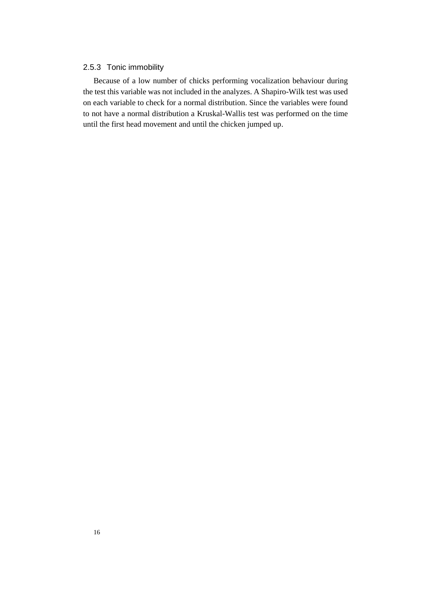#### <span id="page-19-0"></span>2.5.3 Tonic immobility

Because of a low number of chicks performing vocalization behaviour during the test this variable was not included in the analyzes. A Shapiro-Wilk test was used on each variable to check for a normal distribution. Since the variables were found to not have a normal distribution a Kruskal-Wallis test was performed on the time until the first head movement and until the chicken jumped up.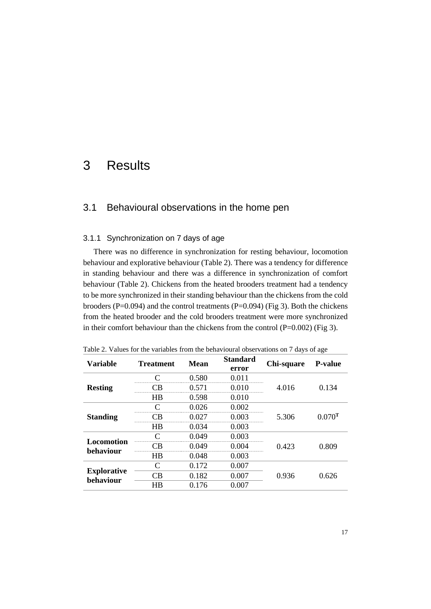# <span id="page-20-1"></span><span id="page-20-0"></span>3 Results

#### <span id="page-20-2"></span>3.1 Behavioural observations in the home pen

#### 3.1.1 Synchronization on 7 days of age

There was no difference in synchronization for resting behaviour, locomotion behaviour and explorative behaviour (Table 2). There was a tendency for difference in standing behaviour and there was a difference in synchronization of comfort behaviour (Table 2). Chickens from the heated brooders treatment had a tendency to be more synchronized in their standing behaviour than the chickens from the cold brooders (P=0.094) and the control treatments (P=0.094) (Fig 3). Both the chickens from the heated brooder and the cold brooders treatment were more synchronized in their comfort behaviour than the chickens from the control (P=0.002) (Fig 3).

| <b>Variable</b>                 | <b>Treatment</b>            | Mean  | <b>Standard</b><br>error | Chi-square | <b>P-value</b>       |
|---------------------------------|-----------------------------|-------|--------------------------|------------|----------------------|
|                                 | ⌒                           | 0.580 | 0.011                    |            |                      |
| <b>Resting</b>                  | $\cap \mathsf{B}$           | 0.571 | 0.010                    | 4.016      | 0.134                |
|                                 | HB                          | 0.598 | 0.010                    |            |                      |
| <b>Standing</b>                 | ⌒                           | 0.026 | 0.002                    |            |                      |
|                                 | ∼R                          | 0.027 | 0.003                    | 5.306      | $0.070$ <sup>T</sup> |
|                                 | HB                          | 0.034 | 0.003                    |            |                      |
| Locomotion                      | ⌒                           | 0.049 | 0.003                    |            |                      |
| behaviour                       | CΒ                          | 0.049 | 0.004                    | 0.423      | 0.809                |
|                                 | HB                          | 0.048 | 0.003                    |            |                      |
|                                 | $\mathcal{C}_{\mathcal{C}}$ | 0.172 | 0.007                    |            |                      |
| <b>Explorative</b><br>behaviour | СB                          | 0.182 | 0.007                    | 0.936      | 0.626                |
|                                 | HB                          | 0.176 | 0.007                    |            |                      |

Table 2. Values for the variables from the behavioural observations on 7 days of age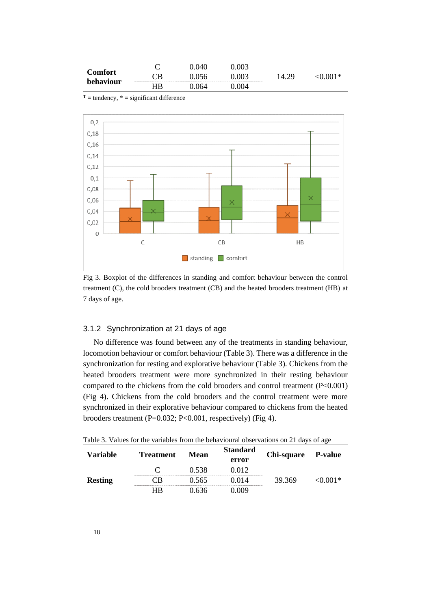| Comfort<br>behaviour | ◡  |     |                             |  |
|----------------------|----|-----|-----------------------------|--|
|                      | ١H |     | --------------------------- |  |
|                      |    | 164 | 704                         |  |

 $T =$  tendency,  $* =$  significant difference



Fig 3. Boxplot of the differences in standing and comfort behaviour between the control treatment (C), the cold brooders treatment (CB) and the heated brooders treatment (HB) at 7 days of age.

#### <span id="page-21-0"></span>3.1.2 Synchronization at 21 days of age

No difference was found between any of the treatments in standing behaviour, locomotion behaviour or comfort behaviour (Table 3). There was a difference in the synchronization for resting and explorative behaviour (Table 3). Chickens from the heated brooders treatment were more synchronized in their resting behaviour compared to the chickens from the cold brooders and control treatment (P<0.001) (Fig 4). Chickens from the cold brooders and the control treatment were more synchronized in their explorative behaviour compared to chickens from the heated brooders treatment (P=0.032; P<0.001, respectively) (Fig 4).

|  |  |  |  |  |  | Table 3. Values for the variables from the behavioural observations on 21 days of age |  |  |  |  |  |  |
|--|--|--|--|--|--|---------------------------------------------------------------------------------------|--|--|--|--|--|--|
|--|--|--|--|--|--|---------------------------------------------------------------------------------------|--|--|--|--|--|--|

| Variable       | <b>Treatment</b> | Mean   | <b>Standard</b><br>error | Chi-square P-value |         |
|----------------|------------------|--------|--------------------------|--------------------|---------|
| <b>Resting</b> |                  | 0.538  | 0.012                    |                    | 70 OO F |
|                |                  | () 565 | 0 0 1 4                  | 39369              |         |
|                | НR               | በ 636  | (1119                    |                    |         |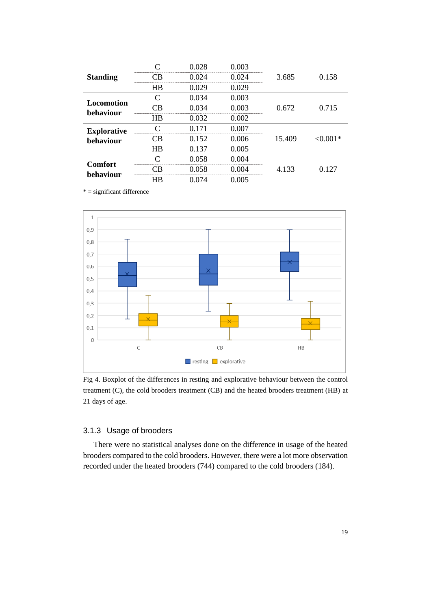|                             |    | 0.028 | 0.003     |        |             |
|-----------------------------|----|-------|-----------|--------|-------------|
| <b>Standing</b>             |    | 0 024 | 0 024     | 3.685  | 0.158       |
|                             | HR | 0.029 | 0.029     |        |             |
| <b>Locomotion</b>           |    | 0.034 | 0.003     |        |             |
| behaviour                   |    | 034   | 003       | 0.672  | 0.715       |
|                             | HВ | 0.032 | 0.002     |        |             |
| <b>Explorative</b>          |    | በ 171 | 0.007<br> |        |             |
| behaviour                   |    | 0.152 | በ በበ6     | 15.409 | ${<}0.001*$ |
|                             | HR | 0.137 | 0.005     |        |             |
|                             |    | 0.058 | 0.004     |        |             |
| <b>Comfort</b><br>behaviour |    | 0.058 | Ი ᲘᲘ4     | 4.133  | 0.127       |
|                             | ΗR | 0 074 | 0.005     |        |             |

 $* =$  significant difference



Fig 4. Boxplot of the differences in resting and explorative behaviour between the control treatment (C), the cold brooders treatment (CB) and the heated brooders treatment (HB) at 21 days of age.

#### <span id="page-22-0"></span>3.1.3 Usage of brooders

There were no statistical analyses done on the difference in usage of the heated brooders compared to the cold brooders. However, there were a lot more observation recorded under the heated brooders (744) compared to the cold brooders (184).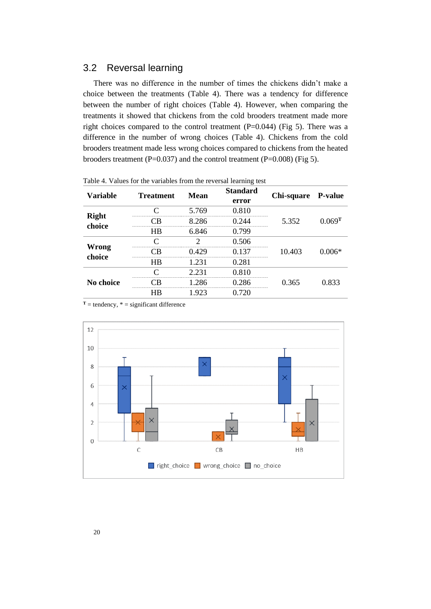# <span id="page-23-0"></span>3.2 Reversal learning

There was no difference in the number of times the chickens didn't make a choice between the treatments (Table 4). There was a tendency for difference between the number of right choices (Table 4). However, when comparing the treatments it showed that chickens from the cold brooders treatment made more right choices compared to the control treatment (P=0.044) (Fig 5). There was a difference in the number of wrong choices (Table 4). Chickens from the cold brooders treatment made less wrong choices compared to chickens from the heated brooders treatment (P=0.037) and the control treatment (P=0.008) (Fig 5).

| Table +. Values for the variables from the reversal learning lest |                  |       |                          |                    |                      |  |  |  |
|-------------------------------------------------------------------|------------------|-------|--------------------------|--------------------|----------------------|--|--|--|
| <b>Variable</b>                                                   | <b>Treatment</b> | Mean  | <b>Standard</b><br>error | Chi-square P-value |                      |  |  |  |
|                                                                   |                  | 5.769 | 0.810<br>                |                    |                      |  |  |  |
| <b>Right</b><br>choice                                            |                  | 8.286 |                          | 5.352              | $0.069$ <sup>T</sup> |  |  |  |
|                                                                   | HВ               | 6.846 | 0.799                    |                    |                      |  |  |  |
|                                                                   |                  |       | 0.506                    |                    |                      |  |  |  |
| <b>Wrong</b><br>choice                                            |                  | 429   | 137<br>                  | 10.403             | $0.006*$             |  |  |  |
|                                                                   | НB               | 1.231 | 0.281                    |                    |                      |  |  |  |
| No choice                                                         |                  | 2.231 | 0.810                    |                    |                      |  |  |  |
|                                                                   |                  | 286   | 286<br>                  | 0.365              | 0.833                |  |  |  |
|                                                                   |                  | 1.923 |                          |                    |                      |  |  |  |

Table 4. Values for the variables from the reversal learning test

 $T =$  tendency,  $* =$  significant difference

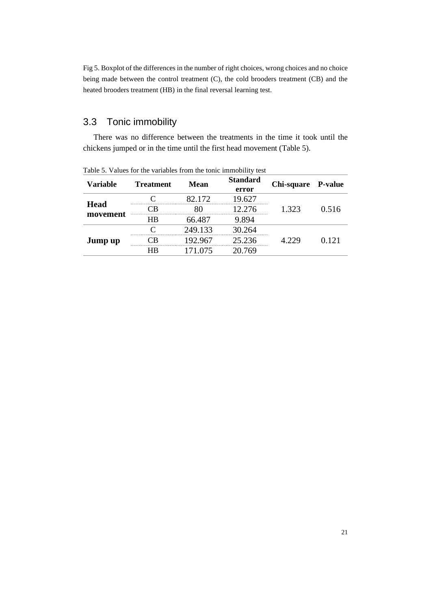Fig 5. Boxplot of the differences in the number of right choices, wrong choices and no choice being made between the control treatment (C), the cold brooders treatment (CB) and the heated brooders treatment (HB) in the final reversal learning test.

# <span id="page-24-0"></span>3.3 Tonic immobility

There was no difference between the treatments in the time it took until the chickens jumped or in the time until the first head movement (Table 5).

| <b>Variable</b>         | <b>Treatment</b> | Mean    | <b>Standard</b> | Chi-square P-value |       |
|-------------------------|------------------|---------|-----------------|--------------------|-------|
|                         |                  |         | error           |                    |       |
| <b>Head</b><br>movement |                  |         | 9.627           | 1.323              | 0.516 |
|                         |                  |         | 2.276           |                    |       |
|                         | НR               | 66.487  | 9.894           |                    |       |
| Jump up                 |                  | 249.133 | 30.264          | 4 229              | O 121 |
|                         |                  | 17 967  | 25 236          |                    |       |
|                         |                  | 171.075 | 20.769          |                    |       |

Table 5. Values for the variables from the tonic immobility test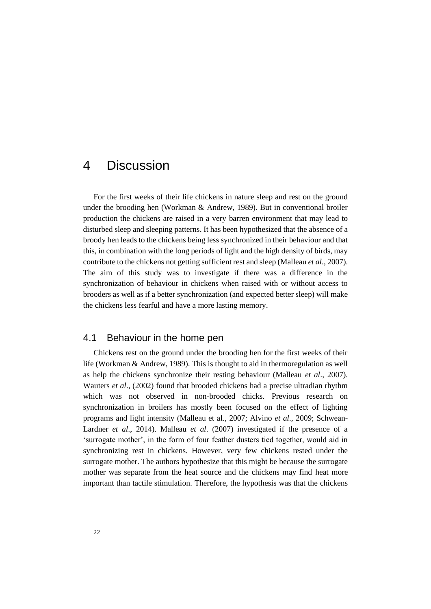# <span id="page-25-0"></span>4 Discussion

For the first weeks of their life chickens in nature sleep and rest on the ground under the brooding hen (Workman & Andrew, 1989). But in conventional broiler production the chickens are raised in a very barren environment that may lead to disturbed sleep and sleeping patterns. It has been hypothesized that the absence of a broody hen leads to the chickens being less synchronized in their behaviour and that this, in combination with the long periods of light and the high density of birds, may contribute to the chickens not getting sufficient rest and sleep (Malleau *et al*., 2007). The aim of this study was to investigate if there was a difference in the synchronization of behaviour in chickens when raised with or without access to brooders as well as if a better synchronization (and expected better sleep) will make the chickens less fearful and have a more lasting memory.

## <span id="page-25-1"></span>4.1 Behaviour in the home pen

Chickens rest on the ground under the brooding hen for the first weeks of their life (Workman & Andrew, 1989). This is thought to aid in thermoregulation as well as help the chickens synchronize their resting behaviour (Malleau *et al*., 2007). Wauters *et al*., (2002) found that brooded chickens had a precise ultradian rhythm which was not observed in non-brooded chicks. Previous research on synchronization in broilers has mostly been focused on the effect of lighting programs and light intensity (Malleau et al., 2007; Alvino *et al*., 2009; Schwean-Lardner *et al*., 2014). Malleau *et al*. (2007) investigated if the presence of a 'surrogate mother', in the form of four feather dusters tied together, would aid in synchronizing rest in chickens. However, very few chickens rested under the surrogate mother. The authors hypothesize that this might be because the surrogate mother was separate from the heat source and the chickens may find heat more important than tactile stimulation. Therefore, the hypothesis was that the chickens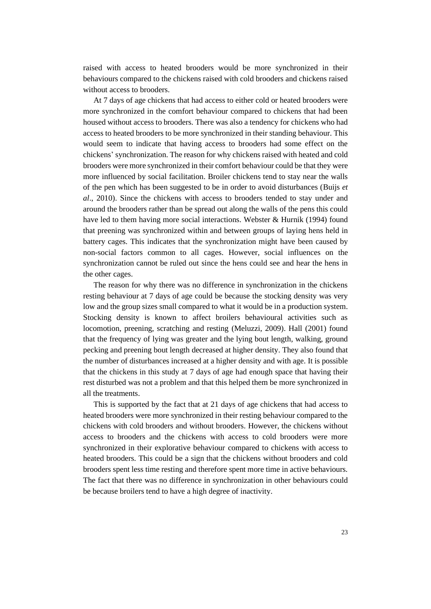raised with access to heated brooders would be more synchronized in their behaviours compared to the chickens raised with cold brooders and chickens raised without access to brooders.

At 7 days of age chickens that had access to either cold or heated brooders were more synchronized in the comfort behaviour compared to chickens that had been housed without access to brooders. There was also a tendency for chickens who had access to heated brooders to be more synchronized in their standing behaviour. This would seem to indicate that having access to brooders had some effect on the chickens' synchronization. The reason for why chickens raised with heated and cold brooders were more synchronized in their comfort behaviour could be that they were more influenced by social facilitation. Broiler chickens tend to stay near the walls of the pen which has been suggested to be in order to avoid disturbances (Buijs *et al*., 2010). Since the chickens with access to brooders tended to stay under and around the brooders rather than be spread out along the walls of the pens this could have led to them having more social interactions. Webster & Hurnik (1994) found that preening was synchronized within and between groups of laying hens held in battery cages. This indicates that the synchronization might have been caused by non-social factors common to all cages. However, social influences on the synchronization cannot be ruled out since the hens could see and hear the hens in the other cages.

The reason for why there was no difference in synchronization in the chickens resting behaviour at 7 days of age could be because the stocking density was very low and the group sizes small compared to what it would be in a production system. Stocking density is known to affect broilers behavioural activities such as locomotion, preening, scratching and resting (Meluzzi, 2009). Hall (2001) found that the frequency of lying was greater and the lying bout length, walking, ground pecking and preening bout length decreased at higher density. They also found that the number of disturbances increased at a higher density and with age. It is possible that the chickens in this study at 7 days of age had enough space that having their rest disturbed was not a problem and that this helped them be more synchronized in all the treatments.

This is supported by the fact that at 21 days of age chickens that had access to heated brooders were more synchronized in their resting behaviour compared to the chickens with cold brooders and without brooders. However, the chickens without access to brooders and the chickens with access to cold brooders were more synchronized in their explorative behaviour compared to chickens with access to heated brooders. This could be a sign that the chickens without brooders and cold brooders spent less time resting and therefore spent more time in active behaviours. The fact that there was no difference in synchronization in other behaviours could be because broilers tend to have a high degree of inactivity.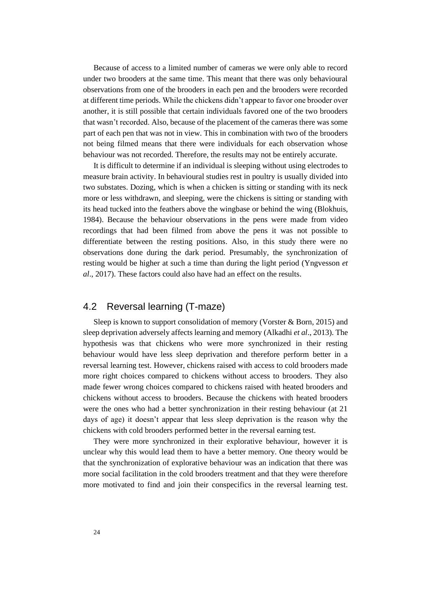Because of access to a limited number of cameras we were only able to record under two brooders at the same time. This meant that there was only behavioural observations from one of the brooders in each pen and the brooders were recorded at different time periods. While the chickens didn't appear to favor one brooder over another, it is still possible that certain individuals favored one of the two brooders that wasn't recorded. Also, because of the placement of the cameras there was some part of each pen that was not in view. This in combination with two of the brooders not being filmed means that there were individuals for each observation whose behaviour was not recorded. Therefore, the results may not be entirely accurate.

It is difficult to determine if an individual is sleeping without using electrodes to measure brain activity. In behavioural studies rest in poultry is usually divided into two substates. Dozing, which is when a chicken is sitting or standing with its neck more or less withdrawn, and sleeping, were the chickens is sitting or standing with its head tucked into the feathers above the wingbase or behind the wing (Blokhuis, 1984). Because the behaviour observations in the pens were made from video recordings that had been filmed from above the pens it was not possible to differentiate between the resting positions. Also, in this study there were no observations done during the dark period. Presumably, the synchronization of resting would be higher at such a time than during the light period (Yngvesson *et al*., 2017). These factors could also have had an effect on the results.

# <span id="page-27-0"></span>4.2 Reversal learning (T-maze)

Sleep is known to support consolidation of memory (Vorster  $\&$  Born, 2015) and sleep deprivation adversely affects learning and memory (Alkadhi *et al*., 2013). The hypothesis was that chickens who were more synchronized in their resting behaviour would have less sleep deprivation and therefore perform better in a reversal learning test. However, chickens raised with access to cold brooders made more right choices compared to chickens without access to brooders. They also made fewer wrong choices compared to chickens raised with heated brooders and chickens without access to brooders. Because the chickens with heated brooders were the ones who had a better synchronization in their resting behaviour (at 21 days of age) it doesn't appear that less sleep deprivation is the reason why the chickens with cold brooders performed better in the reversal earning test.

They were more synchronized in their explorative behaviour, however it is unclear why this would lead them to have a better memory. One theory would be that the synchronization of explorative behaviour was an indication that there was more social facilitation in the cold brooders treatment and that they were therefore more motivated to find and join their conspecifics in the reversal learning test.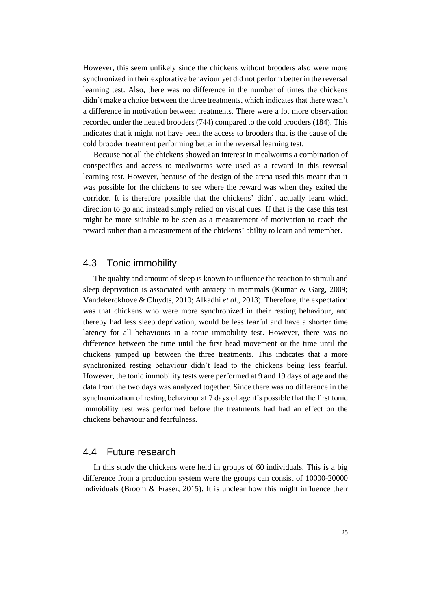However, this seem unlikely since the chickens without brooders also were more synchronized in their explorative behaviour yet did not perform better in the reversal learning test. Also, there was no difference in the number of times the chickens didn't make a choice between the three treatments, which indicates that there wasn't a difference in motivation between treatments. There were a lot more observation recorded under the heated brooders (744) compared to the cold brooders (184). This indicates that it might not have been the access to brooders that is the cause of the cold brooder treatment performing better in the reversal learning test.

Because not all the chickens showed an interest in mealworms a combination of conspecifics and access to mealworms were used as a reward in this reversal learning test. However, because of the design of the arena used this meant that it was possible for the chickens to see where the reward was when they exited the corridor. It is therefore possible that the chickens' didn't actually learn which direction to go and instead simply relied on visual cues. If that is the case this test might be more suitable to be seen as a measurement of motivation to reach the reward rather than a measurement of the chickens' ability to learn and remember.

### <span id="page-28-0"></span>4.3 Tonic immobility

The quality and amount of sleep is known to influence the reaction to stimuli and sleep deprivation is associated with anxiety in mammals (Kumar & Garg, 2009; Vandekerckhove & Cluydts, 2010; Alkadhi *et al*., 2013). Therefore, the expectation was that chickens who were more synchronized in their resting behaviour, and thereby had less sleep deprivation, would be less fearful and have a shorter time latency for all behaviours in a tonic immobility test. However, there was no difference between the time until the first head movement or the time until the chickens jumped up between the three treatments. This indicates that a more synchronized resting behaviour didn't lead to the chickens being less fearful. However, the tonic immobility tests were performed at 9 and 19 days of age and the data from the two days was analyzed together. Since there was no difference in the synchronization of resting behaviour at 7 days of age it's possible that the first tonic immobility test was performed before the treatments had had an effect on the chickens behaviour and fearfulness.

# <span id="page-28-1"></span>4.4 Future research

In this study the chickens were held in groups of 60 individuals. This is a big difference from a production system were the groups can consist of 10000-20000 individuals (Broom  $\&$  Fraser, 2015). It is unclear how this might influence their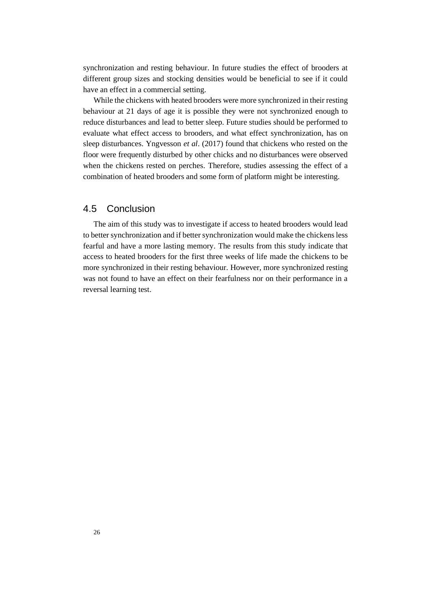synchronization and resting behaviour. In future studies the effect of brooders at different group sizes and stocking densities would be beneficial to see if it could have an effect in a commercial setting.

While the chickens with heated brooders were more synchronized in their resting behaviour at 21 days of age it is possible they were not synchronized enough to reduce disturbances and lead to better sleep. Future studies should be performed to evaluate what effect access to brooders, and what effect synchronization, has on sleep disturbances. Yngvesson *et al*. (2017) found that chickens who rested on the floor were frequently disturbed by other chicks and no disturbances were observed when the chickens rested on perches. Therefore, studies assessing the effect of a combination of heated brooders and some form of platform might be interesting.

#### <span id="page-29-0"></span>4.5 Conclusion

The aim of this study was to investigate if access to heated brooders would lead to better synchronization and if better synchronization would make the chickens less fearful and have a more lasting memory. The results from this study indicate that access to heated brooders for the first three weeks of life made the chickens to be more synchronized in their resting behaviour. However, more synchronized resting was not found to have an effect on their fearfulness nor on their performance in a reversal learning test.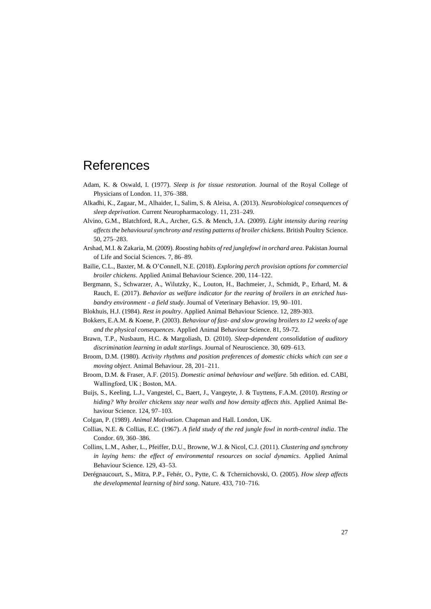# <span id="page-30-0"></span>References

- Adam, K. & Oswald, I. (1977). *Sleep is for tissue restoration*. Journal of the Royal College of Physicians of London. 11, 376–388.
- Alkadhi, K., Zagaar, M., Alhaider, I., Salim, S. & Aleisa, A. (2013). *Neurobiological consequences of sleep deprivation*. Current Neuropharmacology. 11, 231–249.
- Alvino, G.M., Blatchford, R.A., Archer, G.S. & Mench, J.A. (2009). *Light intensity during rearing affects the behavioural synchrony and resting patterns of broiler chickens*. British Poultry Science. 50, 275–283.
- Arshad, M.I. & Zakaria, M. (2009). *Roosting habits of red junglefowl in orchard area*. Pakistan Journal of Life and Social Sciences. 7, 86–89.
- Bailie, C.L., Baxter, M. & O'Connell, N.E. (2018). *Exploring perch provision options for commercial broiler chickens*. Applied Animal Behaviour Science. 200, 114–122.
- Bergmann, S., Schwarzer, A., Wilutzky, K., Louton, H., Bachmeier, J., Schmidt, P., Erhard, M. & Rauch, E. (2017). *Behavior as welfare indicator for the rearing of broilers in an enriched husbandry environment - a field study*. Journal of Veterinary Behavior. 19, 90–101.
- Blokhuis, H.J. (1984). *Rest in poultry*. Applied Animal Behaviour Science. 12, 289-303.
- Bokkers, E.A.M. & Koene, P. (2003). *Behaviour of fast- and slow growing broilers to 12 weeks of age and the physical consequences*. Applied Animal Behaviour Science. 81, 59-72.
- Brawn, T.P., Nusbaum, H.C. & Margoliash, D. (2010). *Sleep-dependent consolidation of auditory discrimination learning in adult starlings*. Journal of Neuroscience. 30, 609–613.
- Broom, D.M. (1980). *Activity rhythms and position preferences of domestic chicks which can see a moving object*. Animal Behaviour. 28, 201–211.
- Broom, D.M. & Fraser, A.F. (2015). *Domestic animal behaviour and welfare*. 5th edition. ed. CABI, Wallingford, UK ; Boston, MA.
- Buijs, S., Keeling, L.J., Vangestel, C., Baert, J., Vangeyte, J. & Tuyttens, F.A.M. (2010). *Resting or hiding? Why broiler chickens stay near walls and how density affects this*. Applied Animal Behaviour Science. 124, 97-103.
- Colgan, P. (1989). *Animal Motivation*. Chapman and Hall. London, UK.
- Collias, N.E. & Collias, E.C. (1967). *A field study of the red jungle fowl in north-central india*. The Condor. 69, 360–386.
- Collins, L.M., Asher, L., Pfeiffer, D.U., Browne, W.J. & Nicol, C.J. (2011). *Clustering and synchrony in laying hens: the effect of environmental resources on social dynamics*. Applied Animal Behaviour Science. 129, 43–53.
- Derégnaucourt, S., Mitra, P.P., Fehér, O., Pytte, C. & Tchernichovski, O. (2005). *How sleep affects the developmental learning of bird song*. Nature. 433, 710–716.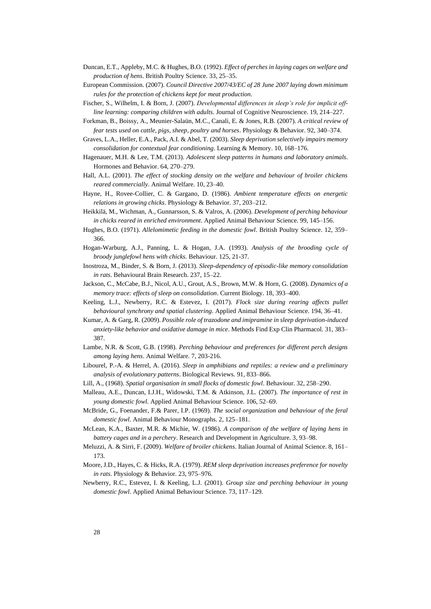- Duncan, E.T., Appleby, M.C. & Hughes, B.O. (1992). *Effect of perches in laying cages on welfare and production of hens*. British Poultry Science. 33, 25–35.
- European Commission. (2007). *Council Directive 2007/43/EC of 28 June 2007 laying down minimum rules for the protection of chickens kept for meat production*.
- Fischer, S., Wilhelm, I. & Born, J. (2007). *Developmental differences in sleep's role for implicit offline learning: comparing children with adults*. Journal of Cognitive Neuroscience. 19, 214–227.
- Forkman, B., Boissy, A., Meunier-Salaün, M.C., Canali, E. & Jones, R.B. (2007). *A critical review of fear tests used on cattle, pigs, sheep, poultry and horses*. Physiology & Behavior. 92, 340–374.
- Graves, L.A., Heller, E.A., Pack, A.I. & Abel, T. (2003). *Sleep deprivation selectively impairs memory consolidation for contextual fear conditioning*. Learning & Memory. 10, 168–176.
- Hagenauer, M.H. & Lee, T.M. (2013). *Adolescent sleep patterns in humans and laboratory animals*. Hormones and Behavior. 64, 270–279.
- Hall, A.L. (2001). *The effect of stocking density on the welfare and behaviour of broiler chickens reared commercially*. Animal Welfare. 10, 23–40.
- Hayne, H., Rovee-Collier, C. & Gargano, D. (1986). *Ambient temperature effects on energetic relations in growing chicks*. Physiology & Behavior. 37, 203–212.
- Heikkilä, M., Wichman, A., Gunnarsson, S. & Valros, A. (2006). *Development of perching behaviour in chicks reared in enriched environment*. Applied Animal Behaviour Science. 99, 145–156.
- Hughes, B.O. (1971). *Allelomimetic feeding in the domestic fowl*. British Poultry Science. 12, 359– 366.
- Hogan-Warburg, A.J., Panning, L. & Hogan, J.A. (1993). *Analysis of the brooding cycle of broody junglefowl hens with chicks*. Behaviour. 125, 21-37.
- Inostroza, M., Binder, S. & Born, J. (2013). *Sleep-dependency of episodic-like memory consolidation in rats*. Behavioural Brain Research. 237, 15–22.
- Jackson, C., McCabe, B.J., Nicol, A.U., Grout, A.S., Brown, M.W. & Horn, G. (2008). *Dynamics of a memory trace: effects of sleep on consolidation*. Current Biology. 18, 393–400.
- Keeling, L.J., Newberry, R.C. & Estevez, I. (2017). *Flock size during rearing affects pullet behavioural synchrony and spatial clustering*. Applied Animal Behaviour Science. 194, 36–41.
- Kumar, A. & Garg, R. (2009). *Possible role of trazodone and imipramine in sleep deprivation-induced anxiety-like behavior and oxidative damage in mice*. Methods Find Exp Clin Pharmacol. 31, 383– 387.
- Lambe, N.R. & Scott, G.B. (1998). *Perching behaviour and preferences for different perch designs among laying hens*. Animal Welfare. 7, 203-216.
- Libourel, P.-A. & Herrel, A. (2016). *Sleep in amphibians and reptiles: a review and a preliminary analysis of evolutionary patterns*. Biological Reviews. 91, 833–866.
- Lill, A., (1968). *Spatial organisation in small flocks of domestic fowl*. Behaviour. 32, 258–290.
- Malleau, A.E., Duncan, I.J.H., Widowski, T.M. & Atkinson, J.L. (2007). *The importance of rest in young domestic fowl*. Applied Animal Behaviour Science. 106, 52–69.
- McBride, G., Foenander, F.& Parer, I.P. (1969). *The social organization and behaviour of the feral domestic fowl*. Animal Behaviour Monographs. 2, 125–181.
- McLean, K.A., Baxter, M.R. & Michie, W. (1986). *A comparison of the welfare of laying hens in battery cages and in a perchery*. Research and Development in Agriculture. 3, 93–98.
- Meluzzi, A. & Sirri, F. (2009). *Welfare of broiler chickens*. Italian Journal of Animal Science. 8, 161– 173.
- Moore, J.D., Hayes, C. & Hicks, R.A. (1979). *REM sleep deprivation increases preference for novelty in rats*. Physiology & Behavior. 23, 975–976.
- Newberry, R.C., Estevez, I. & Keeling, L.J. (2001). *Group size and perching behaviour in young domestic fowl*. Applied Animal Behaviour Science. 73, 117–129.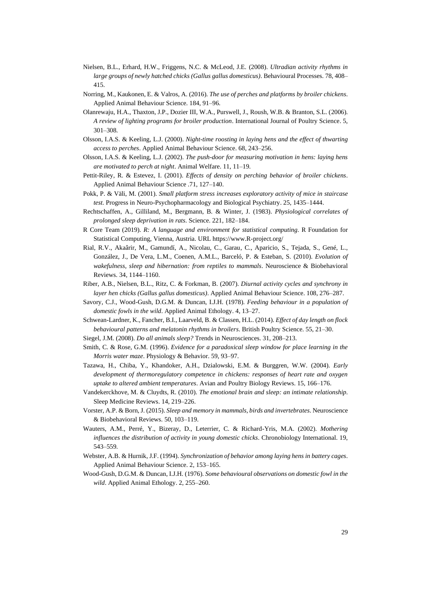- Nielsen, B.L., Erhard, H.W., Friggens, N.C. & McLeod, J.E. (2008). *Ultradian activity rhythms in large groups of newly hatched chicks (Gallus gallus domesticus)*. Behavioural Processes. 78, 408– 415.
- Norring, M., Kaukonen, E. & Valros, A. (2016). *The use of perches and platforms by broiler chickens*. Applied Animal Behaviour Science. 184, 91–96.
- Olanrewaju, H.A., Thaxton, J.P., Dozier III, W.A., Purswell, J., Roush, W.B. & Branton, S.L. (2006). *A review of lighting programs for broiler production*. International Journal of Poultry Science. 5, 301–308.
- Olsson, I.A.S. & Keeling, L.J. (2000). *Night-time roosting in laying hens and the effect of thwarting access to perches*. Applied Animal Behaviour Science. 68, 243–256.
- Olsson, I.A.S. & Keeling, L.J. (2002). *The push-door for measuring motivation in hens: laying hens are motivated to perch at night*. Animal Welfare. 11, 11–19.
- Pettit-Riley, R. & Estevez, I. (2001). *Effects of density on perching behavior of broiler chickens*. Applied Animal Behaviour Science .71, 127–140.
- Pokk, P. & Väli, M. (2001). *Small platform stress increases exploratory activity of mice in staircase test*. Progress in Neuro-Psychopharmacology and Biological Psychiatry. 25, 1435–1444.
- Rechtschaffen, A., Gilliland, M., Bergmann, B. & Winter, J. (1983). *Physiological correlates of prolonged sleep deprivation in rats*. Science. 221, 182–184.
- R Core Team (2019). *R: A language and environment for statistical computing*. R Foundation for Statistical Computing, Vienna, Austria. URL https://www.R-project.org/
- Rial, R.V., Akaârir, M., Gamundí, A., Nicolau, C., Garau, C., Aparicio, S., Tejada, S., Gené, L., González, J., De Vera, L.M., Coenen, A.M.L., Barceló, P. & Esteban, S. (2010). *Evolution of wakefulness, sleep and hibernation: from reptiles to mammals*. Neuroscience & Biobehavioral Reviews. 34, 1144–1160.
- Riber, A.B., Nielsen, B.L., Ritz, C. & Forkman, B. (2007). *Diurnal activity cycles and synchrony in layer hen chicks (Gallus gallus domesticus)*. Applied Animal Behaviour Science. 108, 276–287.
- Savory, C.J., Wood-Gush, D.G.M. & Duncan, I.J.H. (1978). *Feeding behaviour in a population of domestic fowls in the wild*. Applied Animal Ethology. 4, 13–27.
- Schwean-Lardner, K., Fancher, B.I., Laarveld, B. & Classen, H.L. (2014). *Effect of day length on flock behavioural patterns and melatonin rhythms in broilers*. British Poultry Science. 55, 21–30.
- Siegel, J.M. (2008). *Do all animals sleep?* Trends in Neurosciences. 31, 208–213.
- Smith, C. & Rose, G.M. (1996). *Evidence for a paradoxical sleep window for place learning in the Morris water maze*. Physiology & Behavior. 59, 93–97.
- Tazawa, H., Chiba, Y., Khandoker, A.H., Dzialowski, E.M. & Burggren, W.W. (2004). *Early development of thermoregulatory competence in chickens: responses of heart rate and oxygen uptake to altered ambient temperatures*. Avian and Poultry Biology Reviews. 15, 166–176.
- Vandekerckhove, M. & Cluydts, R. (2010). *The emotional brain and sleep: an intimate relationship*. Sleep Medicine Reviews. 14, 219–226.
- Vorster, A.P. & Born, J. (2015). *Sleep and memory in mammals, birds and invertebrates*. Neuroscience & Biobehavioral Reviews. 50, 103–119.
- Wauters, A.M., Perré, Y., Bizeray, D., Leterrier, C. & Richard-Yris, M.A. (2002). *Mothering influences the distribution of activity in young domestic chicks*. Chronobiology International. 19, 543–559.
- Webster, A.B. & Hurnik, J.F. (1994). *Synchronization of behavior among laying hens in battery cages*. Applied Animal Behaviour Science. 2, 153–165.
- Wood-Gush, D.G.M. & Duncan, I.J.H. (1976). *Some behavioural observations on domestic fowl in the wild*. Applied Animal Ethology. 2, 255–260.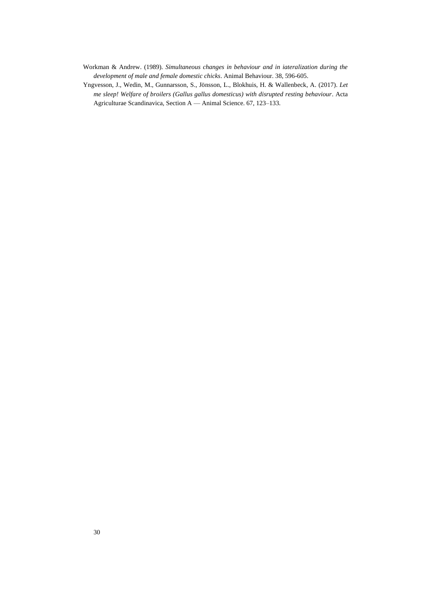- Workman & Andrew. (1989). *Simultaneous changes in behaviour and in iateralization during the development of male and female domestic chicks*. Animal Behaviour. 38, 596-605.
- Yngvesson, J., Wedin, M., Gunnarsson, S., Jönsson, L., Blokhuis, H. & Wallenbeck, A. (2017). *Let me sleep! Welfare of broilers (Gallus gallus domesticus) with disrupted resting behaviour*. Acta Agriculturae Scandinavica, Section A — Animal Science. 67, 123–133.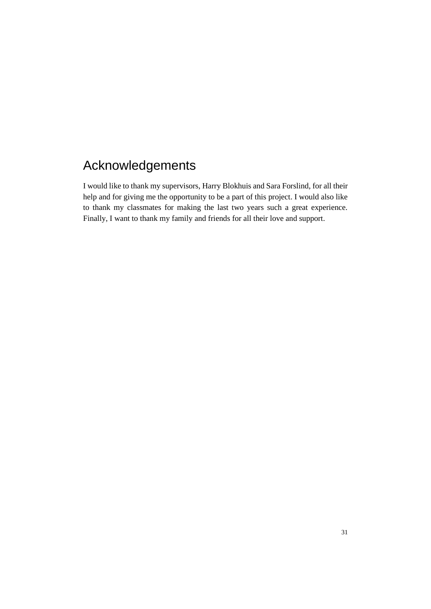# <span id="page-34-0"></span>Acknowledgements

I would like to thank my supervisors, Harry Blokhuis and Sara Forslind, for all their help and for giving me the opportunity to be a part of this project. I would also like to thank my classmates for making the last two years such a great experience. Finally, I want to thank my family and friends for all their love and support.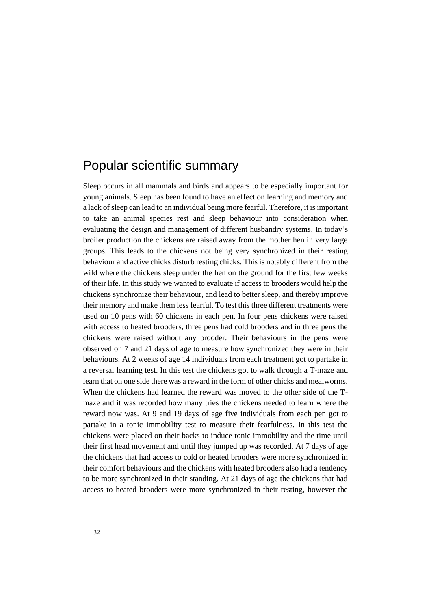# <span id="page-35-0"></span>Popular scientific summary

Sleep occurs in all mammals and birds and appears to be especially important for young animals. Sleep has been found to have an effect on learning and memory and a lack of sleep can lead to an individual being more fearful. Therefore, it is important to take an animal species rest and sleep behaviour into consideration when evaluating the design and management of different husbandry systems. In today's broiler production the chickens are raised away from the mother hen in very large groups. This leads to the chickens not being very synchronized in their resting behaviour and active chicks disturb resting chicks. This is notably different from the wild where the chickens sleep under the hen on the ground for the first few weeks of their life. In this study we wanted to evaluate if access to brooders would help the chickens synchronize their behaviour, and lead to better sleep, and thereby improve their memory and make them less fearful. To test this three different treatments were used on 10 pens with 60 chickens in each pen. In four pens chickens were raised with access to heated brooders, three pens had cold brooders and in three pens the chickens were raised without any brooder. Their behaviours in the pens were observed on 7 and 21 days of age to measure how synchronized they were in their behaviours. At 2 weeks of age 14 individuals from each treatment got to partake in a reversal learning test. In this test the chickens got to walk through a T-maze and learn that on one side there was a reward in the form of other chicks and mealworms. When the chickens had learned the reward was moved to the other side of the Tmaze and it was recorded how many tries the chickens needed to learn where the reward now was. At 9 and 19 days of age five individuals from each pen got to partake in a tonic immobility test to measure their fearfulness. In this test the chickens were placed on their backs to induce tonic immobility and the time until their first head movement and until they jumped up was recorded. At 7 days of age the chickens that had access to cold or heated brooders were more synchronized in their comfort behaviours and the chickens with heated brooders also had a tendency to be more synchronized in their standing. At 21 days of age the chickens that had access to heated brooders were more synchronized in their resting, however the